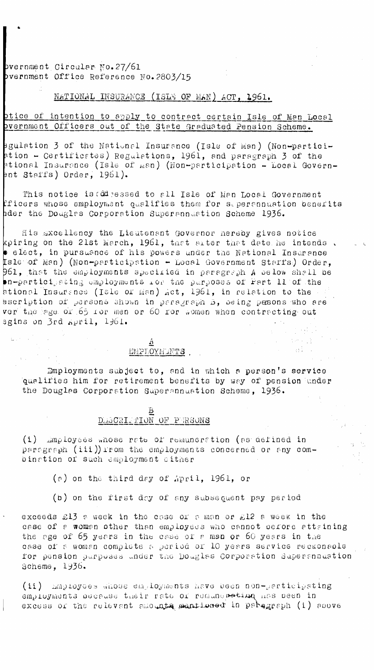### pvernment Circular No.27/61 pvernment Office Reference No. 2803/15

### NATIONAL INSURANCE (ISLE OF MAN) ACT, 1961.

### ptice of intention to apply to contract certain Isle of Man Local pvernment Officers out of the State Graduated Pension Scheme.

 $\frac{1}{2}$ gulation 3 of the National Insurance (Isle of Man) (Non-particistion - Certificates) Regulations, 1961, and paragraph 3 of the ational Insurance (Isle of man) (Non-participation - Local Governent Starfs) Order, 1961).

This notice is adjessed to all Isle of Man Local Government fficers whose employment qualifies them for superannuation benefits pder the Dougles Corporation Superannuation Scheme 1936.

His axcellency the Lieutenant Governor hereby gives notice kpiring on the 21st March, 1961, that alter that date he intends.  $\bullet$  elect, in pursuance of his powers under the National Insurance  $[$ sle of Man) (Non-participation - Local Government Starfs) Order,  $961$ , that the employments specified in paragraph A below shall be  $\blacksquare$ n-participating employments ror the purposes of Part 11 of the ational Insurance (Isle or Man) Act, 1961, in relation to the bscription of persons shown in paragraph B, being persons who are ver the age of 65 for men or 60 for women when contracting out agina on 3rd April, 1961.

## $\frac{\underline{A}}{\underline{EMPLOYM\cup NTS}}$

Employments subject to, and in which a person's service qualifies him for retirement benefits by way of pension under the Douglas Corporation Superannuation Scheme, 1936.

# DESCRIPTION OF PERSONS

 $(i)$  lamployees whose rate of remuneration (as defined in paragraph (iii)) from the employments concerned or any combination of such employment sither

(a) on the third day of April, 1961, or

(b) on the first day of any subsequent pay period

exceeds £13 a week in the case or a man or £12 a week in the case of a woman other than employees who cannot before attaining the age of 65 years in the case of a man or 60 years in the case of a woman complete a period or 10 years service reckonable for pension purposes under the Douglas Corporation Superannuation Scheme, 1936.

(ii) amployees whose employments have been non-participating employments because their rate of remunemeting has been in excess of the relevent amounts mentioned in paragraph (i) above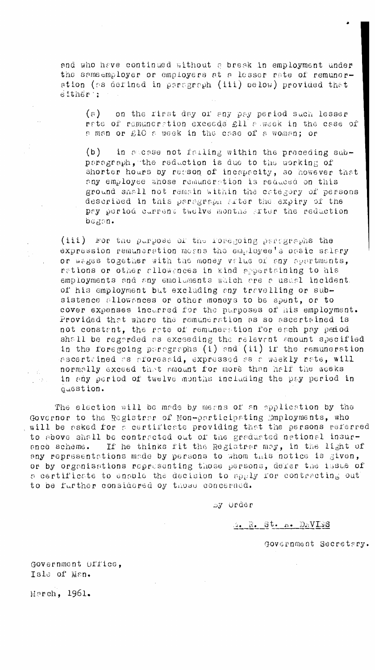and who have continued without a break in employment under the sameemployer or employers at a lesser rate of remuneration (as defined in paragraph (iii) below) provided that either':

(s) on the first day or any pay period such lesser rate of remuneration exceeds £11 a,week in the case of a man or £10 a week in the case of a woman; or

(b) in allesse not failing within the preceding subparagraph, the reduction is due to the working of shorter hours by reason of incapacity, so however that any employee whose remuneration is reduced on this ground shall not remain within the category of persons described in this paragraph arter the expiry of the pay period current twelve months arter the reduction  $beginmathbf{b}$ 

(iii) .bor the purpose of the foregoing paragraphs the expression remuneration means the employee's pasic salary or wages together with the money value of any apartments, rations or other allowances in kind appertaining to his employments and any emoluments which are a usual incident. of his employment but excluding any travelling or subsistence allowances or other moneys to be spent, or to cover expenses incurred for the purposes of his employment. Provided that where the remuneration as so ascertained is not constant, the rate of remuneration for each pay period shall be regarded as exceeding the relevant amount specified in the foregoing paragraphs  $(i)$  and  $(ii)$  if the remuneration ascertained as aforesaid, expressed as a weekly rate, will normally exceed that amount for more than half the weeks in any period of twelve months including the pay period in question.

The election will be made by means of an application by the Governor to the Registrar of Non—participating :imployments, who will be asked for a certificate providing that the persons referred to above shall be contracted out of the graduated national insurance scheme. If he thinks fit the Registrar may, in the light of any representations made by persons to whom this notice is given, or by organisations representing those persons, derer the issue of a certificate to enable the decision to apply for contracting out to be further considered oy those concerned.

.L)y order

a. R. St. n. DAVISS

Government secretary.

•

Government Office, Isle of Man.

March, 1961.

a na st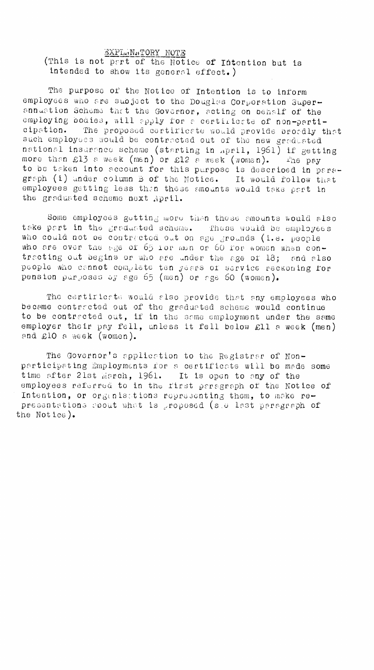EXPLINATORY NOTE

(This is not part of the Notice of Intention but is intended to show its general effect.)

The purpose of the Notice of Intention is to inform employees who are subject to the Douglas Corporation Superannuation Scheme that the Governor, acting on behalf of the employing bodies, will apply for a certificate of non-participation. The proposed certificate would provide procdly that such employees would be contracted out of the new graduated national insurance scheme (starting in april, 1961) if getting<br>more than £13 a week (men) or £12 a week (woman). The pay to be taken into secount for this purpose is described in para-<br>graph (i) under column B of the Notice. It would follow that employees getting less than these amounts would take part in the graduated scheme next April.

Some employees gutting more than these amounts would also take part in the graduated scheme. These would be employees who could not be contracted but on age grounds (i.e. people who are over the age of 65 ior men or 60 for women when contrecting out begins or who are under the age of 18; and also people who cannot complete ten gears of service reckoning for pension parposes by age 65 (men) or age 60 (women).

The certificate would also provide that any employees who became contracted out of the graduated scheme would continue to be contracted out, if in the same employment under the same<br>employer their pay fell, unless it fell below £11 a week (men) and £10 a week (women).

The Governor's application to the Registrar of Nonparticipating Employments for a certificate will be made some time sfter 21st March, 1961. It is open to any of the<br>employees referred to in the first paragraph of the Notice of Intention, or organisations representing them, to make representations spout what is proposed (s.e last paragraph of the Notice).